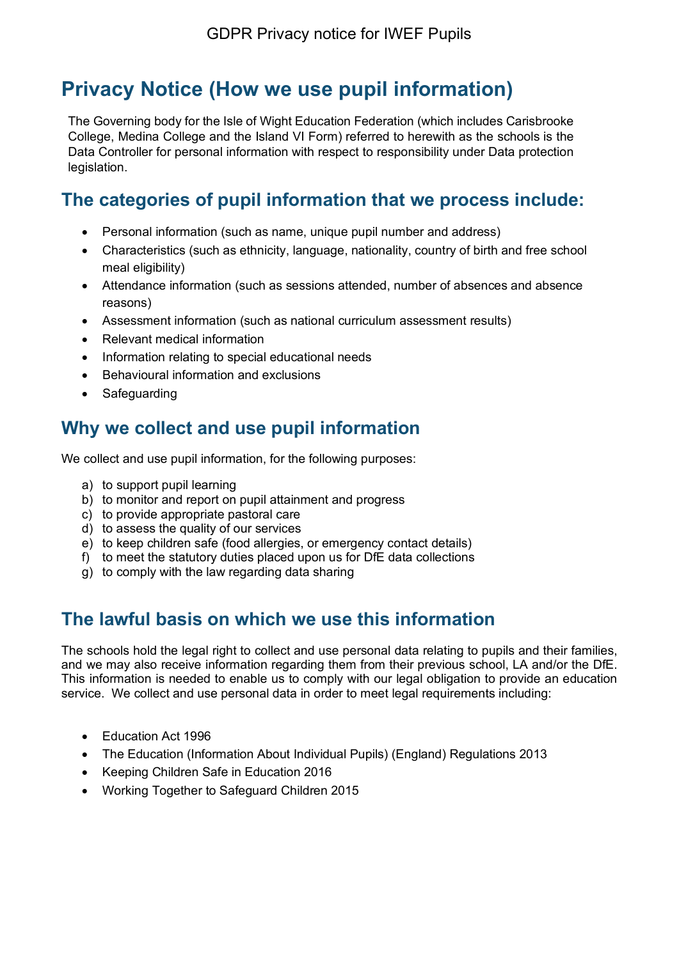# **Privacy Notice (How we use pupil information)**

The Governing body for the Isle of Wight Education Federation (which includes Carisbrooke College, Medina College and the Island VI Form) referred to herewith as the schools is the Data Controller for personal information with respect to responsibility under Data protection legislation.

## **The categories of pupil information that we process include:**

- Personal information (such as name, unique pupil number and address)
- Characteristics (such as ethnicity, language, nationality, country of birth and free school meal eligibility)
- Attendance information (such as sessions attended, number of absences and absence reasons)
- Assessment information (such as national curriculum assessment results)
- Relevant medical information
- Information relating to special educational needs
- Behavioural information and exclusions
- Safeguarding

#### **Why we collect and use pupil information**

We collect and use pupil information, for the following purposes:

- a) to support pupil learning
- b) to monitor and report on pupil attainment and progress
- c) to provide appropriate pastoral care
- d) to assess the quality of our services
- e) to keep children safe (food allergies, or emergency contact details)
- f) to meet the statutory duties placed upon us for DfE data collections
- g) to comply with the law regarding data sharing

#### **The lawful basis on which we use this information**

The schools hold the legal right to collect and use personal data relating to pupils and their families, and we may also receive information regarding them from their previous school, LA and/or the DfE. This information is needed to enable us to comply with our legal obligation to provide an education service. We collect and use personal data in order to meet legal requirements including:

- Education Act 1996
- The Education (Information About Individual Pupils) (England) Regulations 2013
- Keeping Children Safe in Education 2016
- Working Together to Safeguard Children 2015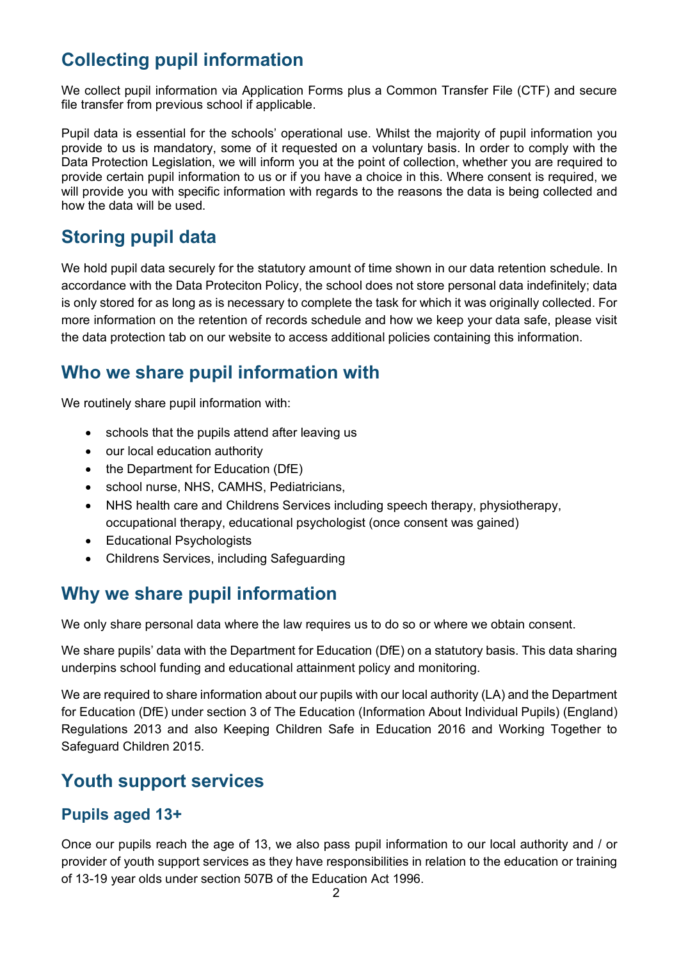## **Collecting pupil information**

We collect pupil information via Application Forms plus a Common Transfer File (CTF) and secure file transfer from previous school if applicable.

Pupil data is essential for the schools' operational use. Whilst the majority of pupil information you provide to us is mandatory, some of it requested on a voluntary basis. In order to comply with the Data Protection Legislation, we will inform you at the point of collection, whether you are required to provide certain pupil information to us or if you have a choice in this. Where consent is required, we will provide you with specific information with regards to the reasons the data is being collected and how the data will be used.

### **Storing pupil data**

We hold pupil data securely for the statutory amount of time shown in our data retention schedule. In accordance with the Data Proteciton Policy, the school does not store personal data indefinitely; data is only stored for as long as is necessary to complete the task for which it was originally collected. For more information on the retention of records schedule and how we keep your data safe, please visit the data protection tab on our website to access additional policies containing this information.

### **Who we share pupil information with**

We routinely share pupil information with:

- schools that the pupils attend after leaving us
- our local education authority
- the Department for Education (DfE)
- school nurse, NHS, CAMHS, Pediatricians,
- NHS health care and Childrens Services including speech therapy, physiotherapy, occupational therapy, educational psychologist (once consent was gained)
- Educational Psychologists
- Childrens Services, including Safeguarding

#### **Why we share pupil information**

We only share personal data where the law requires us to do so or where we obtain consent.

We share pupils' data with the Department for Education (DfE) on a statutory basis. This data sharing underpins school funding and educational attainment policy and monitoring.

We are required to share information about our pupils with our local authority (LA) and the Department for Education (DfE) under section 3 of The Education (Information About Individual Pupils) (England) Regulations 2013 and also Keeping Children Safe in Education 2016 and Working Together to Safeguard Children 2015.

#### **Youth support services**

#### **Pupils aged 13+**

Once our pupils reach the age of 13, we also pass pupil information to our local authority and / or provider of youth support services as they have responsibilities in relation to the education or training of 13-19 year olds under section 507B of the Education Act 1996.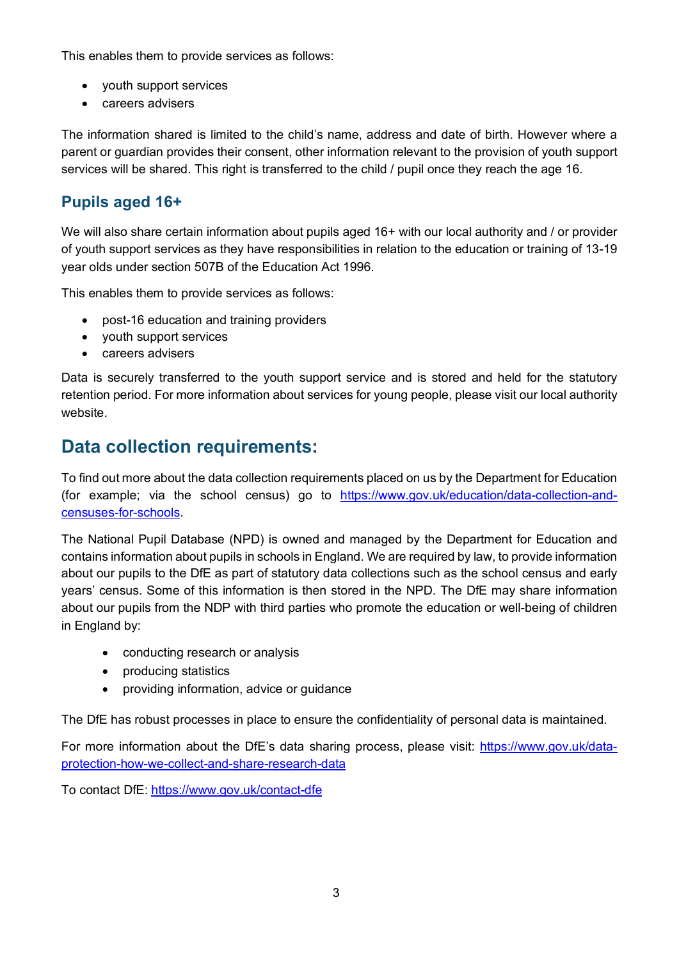This enables them to provide services as follows:

- youth support services
- careers advisers

The information shared is limited to the child's name, address and date of birth. However where a parent or guardian provides their consent, other information relevant to the provision of youth support services will be shared. This right is transferred to the child / pupil once they reach the age 16*.*

#### **Pupils aged 16+**

We will also share certain information about pupils aged 16+ with our local authority and / or provider of youth support services as they have responsibilities in relation to the education or training of 13-19 year olds under section 507B of the Education Act 1996.

This enables them to provide services as follows:

- post-16 education and training providers
- youth support services
- careers advisers

Data is securely transferred to the youth support service and is stored and held for the statutory retention period. For more information about services for young people, please visit our local authority website.

#### **Data collection requirements:**

To find out more about the data collection requirements placed on us by the Department for Education (for example; via the school census) go to [https://www.gov.uk/education/data-collection-and](https://www.gov.uk/education/data-collection-and-censuses-for-schools)[censuses-for-schools.](https://www.gov.uk/education/data-collection-and-censuses-for-schools)

The National Pupil Database (NPD) is owned and managed by the Department for Education and contains information about pupils in schools in England. We are required by law, to provide information about our pupils to the DfE as part of statutory data collections such as the school census and early years' census. Some of this information is then stored in the NPD. The DfE may share information about our pupils from the NDP with third parties who promote the education or well-being of children in England by:

- conducting research or analysis
- producing statistics
- providing information, advice or guidance

The DfE has robust processes in place to ensure the confidentiality of personal data is maintained.

For more information about the DfE's data sharing process, please visit: [https://www.gov.uk/data](https://www.gov.uk/data-protection-how-we-collect-and-share-research-data)[protection-how-we-collect-and-share-research-data](https://www.gov.uk/data-protection-how-we-collect-and-share-research-data)

To contact DfE:<https://www.gov.uk/contact-dfe>